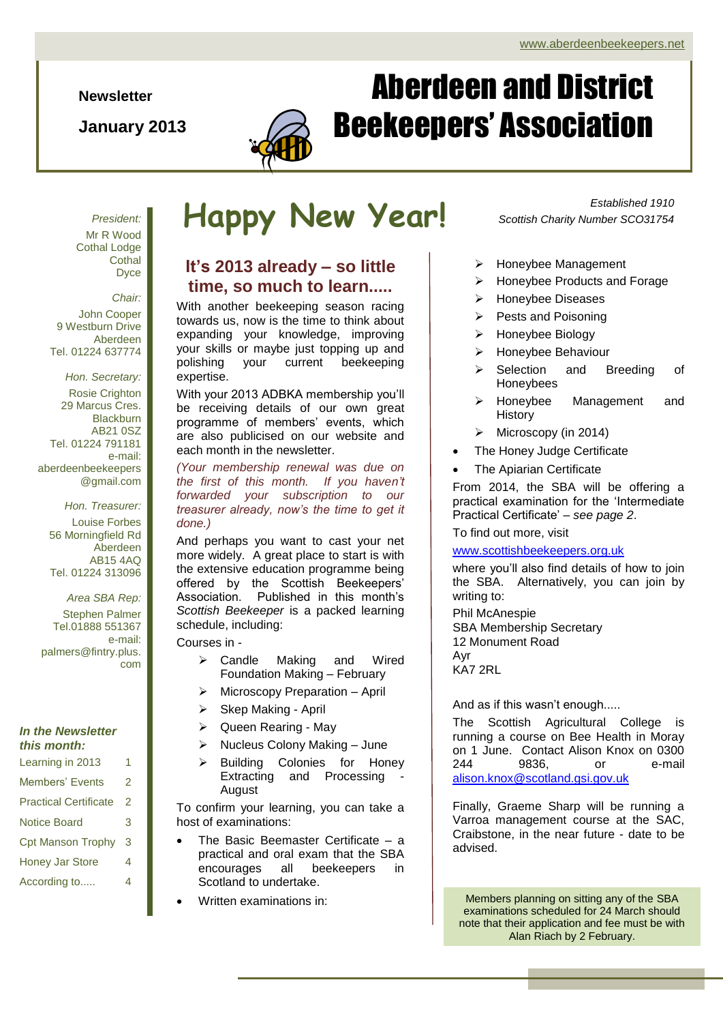**Newsletter**

**January 2013**



# Aberdeen and District Beekeepers' Association

*President:* Mr R Wood Cothal Lodge **Cothal** Dyce

*Chair:*

John Cooper 9 Westburn Drive Aberdeen Tel. 01224 637774

*Hon. Secretary:* Rosie Crighton 29 Marcus Cres. **Blackburn** AB21 0SZ Tel. 01224 791181 e-mail: aberdeenbeekeepers @gmail.com

> *Hon. Treasurer:* Louise Forbes 56 Morningfield Rd Aberdeen AB15 4AQ Tel. 01224 313096

> > *Area SBA Rep:*

Stephen Palmer Tel.01888 551367 e-mail: palmers@fintry.plus. com

### *In the Newsletter this month:*

- Learning in 2013 1
- Members' Fyents 2 Practical Certificate 2
- Notice Board 3 Cpt Manson Trophy 3
- Honey Jar Store 4
- According to..... 4

# **Happy New Year!**

### **It's 2013 already – so little time, so much to learn.....**

With another beekeeping season racing towards us, now is the time to think about expanding your knowledge, improving your skills or maybe just topping up and polishing your current beekeeping expertise.

With your 2013 ADBKA membership you'll be receiving details of our own great programme of members' events, which are also publicised on our website and each month in the newsletter.

*(Your membership renewal was due on the first of this month. If you haven't forwarded your subscription to our treasurer already, now's the time to get it done.)*

And perhaps you want to cast your net more widely. A great place to start is with the extensive education programme being offered by the Scottish Beekeepers' Association. Published in this month's *Scottish Beekeeper* is a packed learning schedule, including:

Courses in -

- Candle Making and Wired Foundation Making – February
- Microscopy Preparation April
- $\triangleright$  Skep Making April
- $\triangleright$  Queen Rearing May
- $\triangleright$  Nucleus Colony Making June
- > Building Colonies for Honey Extracting and Processing August

To confirm your learning, you can take a host of examinations:

- The Basic Beemaster Certificate a practical and oral exam that the SBA encourages all beekeepers in Scotland to undertake.
- Written examinations in:

*Established 1910 Scottish Charity Number SCO31754*

- > Honeybee Management
- $\triangleright$  Honeybee Products and Forage
- > Honeybee Diseases
- $\triangleright$  Pests and Poisoning
- > Honeybee Biology
- > Honeybee Behaviour
- Selection and Breeding of Honeybees
- > Honeybee Management and History
- $\triangleright$  Microscopy (in 2014)
- The Honey Judge Certificate
- The Apiarian Certificate

From 2014, the SBA will be offering a practical examination for the 'Intermediate Practical Certificate' – *see page 2*.

### To find out more, visit

### [www.scottishbeekeepers.org.uk](http://www.scottishbeekeepers.org.uk/)

where you'll also find details of how to join the SBA. Alternatively, you can join by writing to:

Phil McAnespie SBA Membership Secretary 12 Monument Road Ayr KA7 2RL

And as if this wasn't enough.....

The Scottish Agricultural College is running a course on Bee Health in Moray on 1 June. Contact Alison Knox on 0300 244 9836, or e-mail [alison.knox@scotland.gsi.gov.uk](mailto:alison.knox@scotland.gsi.gov.uk)

Finally, Graeme Sharp will be running a Varroa management course at the SAC, Craibstone, in the near future - date to be advised.

Members planning on sitting any of the SBA examinations scheduled for 24 March should note that their application and fee must be with Alan Riach by 2 February.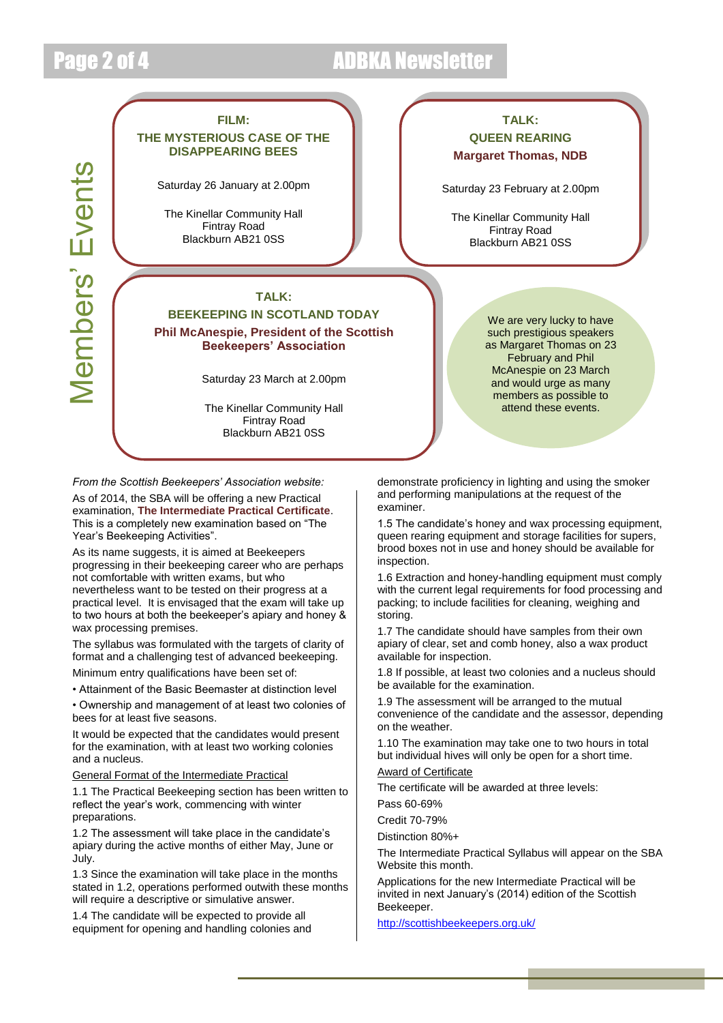Members' Events

*Members'* Events

## Page 2 of 4 ADBKA Newsletter

### **FILM: THE MYSTERIOUS CASE OF THE DISAPPEARING BEES**

Saturday 26 January at 2.00pm

The Kinellar Community Hall Fintray Road Blackburn AB21 0SS

### **TALK:**

**BEEKEEPING IN SCOTLAND TODAY Phil McAnespie, President of the Scottish Beekeepers' Association**

Saturday 23 March at 2.00pm

The Kinellar Community Hall Fintray Road Blackburn AB21 0SS

*From the Scottish Beekeepers' Association website:*

As of 2014, the SBA will be offering a new Practical examination, **The Intermediate Practical Certificate**. This is a completely new examination based on "The Year's Beekeeping Activities".

As its name suggests, it is aimed at Beekeepers progressing in their beekeeping career who are perhaps not comfortable with written exams, but who nevertheless want to be tested on their progress at a practical level. It is envisaged that the exam will take up to two hours at both the beekeeper's apiary and honey & wax processing premises.

The syllabus was formulated with the targets of clarity of format and a challenging test of advanced beekeeping.

Minimum entry qualifications have been set of:

• Attainment of the Basic Beemaster at distinction level

• Ownership and management of at least two colonies of bees for at least five seasons.

It would be expected that the candidates would present for the examination, with at least two working colonies and a nucleus.

General Format of the Intermediate Practical

1.1 The Practical Beekeeping section has been written to reflect the year's work, commencing with winter preparations.

1.2 The assessment will take place in the candidate's apiary during the active months of either May, June or July.

1.3 Since the examination will take place in the months stated in 1.2, operations performed outwith these months will require a descriptive or simulative answer.

1.4 The candidate will be expected to provide all equipment for opening and handling colonies and

### **TALK: QUEEN REARING Margaret Thomas, NDB**

Saturday 23 February at 2.00pm

The Kinellar Community Hall Fintray Road Blackburn AB21 0SS

> We are very lucky to have such prestigious speakers as Margaret Thomas on 23 February and Phil McAnespie on 23 March and would urge as many members as possible to attend these events.

demonstrate proficiency in lighting and using the smoker and performing manipulations at the request of the examiner.

queen rearing equipment and storage facilities for supers, 1.5 The candidate's honey and wax processing equipment, brood boxes not in use and honey should be available for inspection.

1.6 Extraction and honey-handling equipment must comply with the current legal requirements for food processing and packing; to include facilities for cleaning, weighing and storing.

1.7 The candidate should have samples from their own apiary of clear, set and comb honey, also a wax product available for inspection.

1.8 If possible, at least two colonies and a nucleus should be available for the examination.

1.9 The assessment will be arranged to the mutual convenience of the candidate and the assessor, depending on the weather.

1.10 The examination may take one to two hours in total but individual hives will only be open for a short time.

### Award of Certificate

The certificate will be awarded at three levels:

Pass 60-69%

Credit 70-79%

Distinction 80%+

The Intermediate Practical Syllabus will appear on the SBA Website this month.

Applications for the new Intermediate Practical will be invited in next January's (2014) edition of the Scottish Beekeeper.

<http://scottishbeekeepers.org.uk/>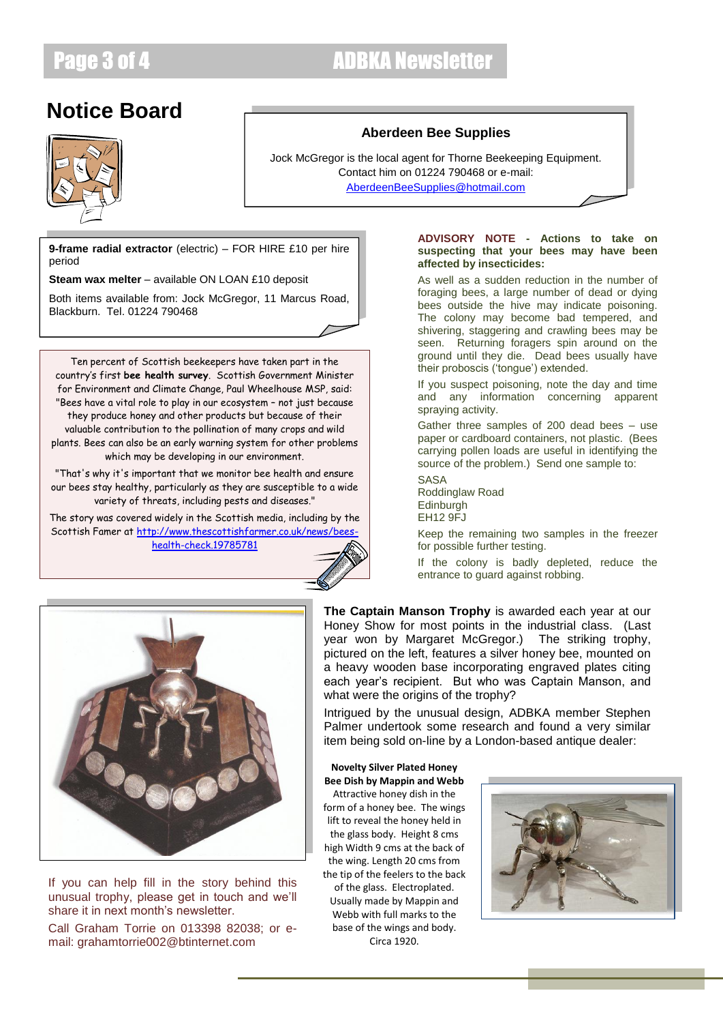## Page 3 of 4 ADBKA Newsletter

## **Notice Board**



### **Aberdeen Bee Supplies**

Jock McGregor is the local agent for Thorne Beekeeping Equipment. Contact him on 01224 790468 or e-mail: [AberdeenBeeSupplies@hotmail.com](mailto:AberdeenBeeSupplies@hotmail.com)

**9-frame radial extractor** (electric) – FOR HIRE £10 per hire period

**Steam wax melter** – available ON LOAN £10 deposit

Both items available from: Jock McGregor, 11 Marcus Road, Blackburn. Tel. 01224 790468

Ten percent of Scottish beekeepers have taken part in the country's first **bee health survey**. Scottish Government Minister for Environment and Climate Change, Paul Wheelhouse MSP, said: "Bees have a vital role to play in our ecosystem – not just because they produce honey and other products but because of their valuable contribution to the pollination of many crops and wild plants. Bees can also be an early warning system for other problems which may be developing in our environment.

"That's why it's important that we monitor bee health and ensure our bees stay healthy, particularly as they are susceptible to a wide variety of threats, including pests and diseases."

The story was covered widely in the Scottish media, including by the Scottish Famer a[t http://www.thescottishfarmer.co.uk/news/bees](http://www.thescottishfarmer.co.uk/news/bees-health-check.19785781)[health-check.19785781](http://www.thescottishfarmer.co.uk/news/bees-health-check.19785781)



### **ADVISORY NOTE - Actions to take on suspecting that your bees may have been affected by insecticides:**

As well as a sudden reduction in the number of foraging bees, a large number of dead or dying bees outside the hive may indicate poisoning. The colony may become bad tempered, and shivering, staggering and crawling bees may be seen. Returning foragers spin around on the ground until they die. Dead bees usually have their proboscis ('tongue') extended.

If you suspect poisoning, note the day and time and any information concerning apparent spraying activity.

Gather three samples of 200 dead bees – use paper or cardboard containers, not plastic. (Bees carrying pollen loads are useful in identifying the source of the problem.) Send one sample to:

SASA Roddinglaw Road Edinburgh EH12 9FJ

Keep the remaining two samples in the freezer for possible further testing.

If the colony is badly depleted, reduce the entrance to guard against robbing.



If you can help fill in the story behind this unusual trophy, please get in touch and we'll share it in next month's newsletter.

Call Graham Torrie on 013398 82038; or email: grahamtorrie002@btinternet.com

**The Captain Manson Trophy** is awarded each year at our Honey Show for most points in the industrial class. (Last year won by Margaret McGregor.) The striking trophy, pictured on the left, features a silver honey bee, mounted on a heavy wooden base incorporating engraved plates citing each year's recipient. But who was Captain Manson, and what were the origins of the trophy?

Intrigued by the unusual design, ADBKA member Stephen Palmer undertook some research and found a very similar item being sold on-line by a London-based antique dealer:

### **Novelty Silver Plated Honey Bee Dish by Mappin and Webb**

Attractive honey dish in the form of a honey bee. The wings lift to reveal the honey held in the glass body. Height 8 cms high Width 9 cms at the back of the wing. Length 20 cms from the tip of the feelers to the back of the glass. Electroplated. Usually made by Mappin and Webb with full marks to the base of the wings and body. Circa 1920.